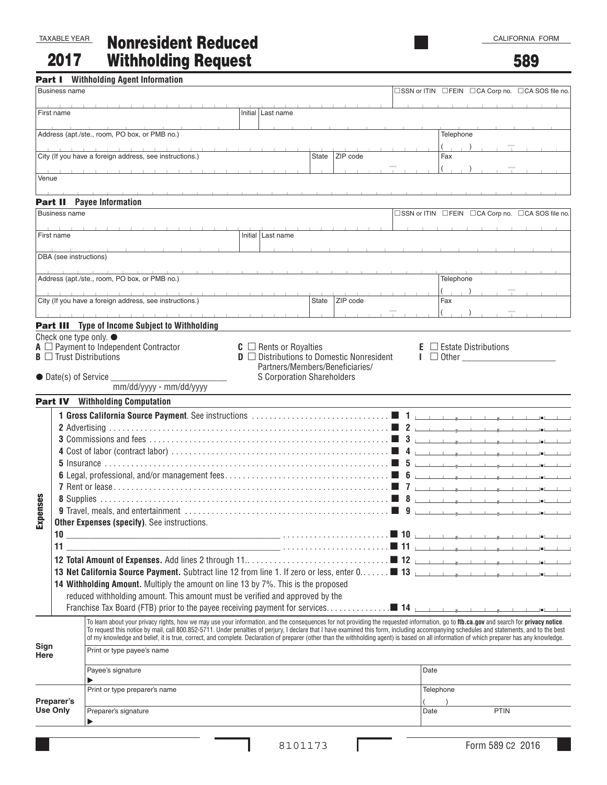2017

Nonresident Reduced Withholding Request

589

|                                                         |                        | <b>Part I</b> Withholding Agent Information                                                                                                                                                                                                                                                                                                                                         |                              |                                                                                             |       |          |  |      |                                             |                                                 |                                                  |  |
|---------------------------------------------------------|------------------------|-------------------------------------------------------------------------------------------------------------------------------------------------------------------------------------------------------------------------------------------------------------------------------------------------------------------------------------------------------------------------------------|------------------------------|---------------------------------------------------------------------------------------------|-------|----------|--|------|---------------------------------------------|-------------------------------------------------|--------------------------------------------------|--|
|                                                         | <b>Business name</b>   |                                                                                                                                                                                                                                                                                                                                                                                     |                              |                                                                                             |       |          |  |      |                                             |                                                 | □SSN or ITIN □FEIN □CA Corp no. □CA SOS file no. |  |
| First name                                              |                        |                                                                                                                                                                                                                                                                                                                                                                                     |                              | Initial   Last name                                                                         |       |          |  |      |                                             |                                                 |                                                  |  |
|                                                         |                        | Address (apt./ste., room, PO box, or PMB no.)                                                                                                                                                                                                                                                                                                                                       |                              |                                                                                             |       |          |  |      | Telephone                                   |                                                 |                                                  |  |
|                                                         |                        |                                                                                                                                                                                                                                                                                                                                                                                     |                              |                                                                                             |       |          |  |      | $($ $\Box$                                  |                                                 |                                                  |  |
| City (If you have a foreign address, see instructions.) |                        |                                                                                                                                                                                                                                                                                                                                                                                     |                              | ZIP code<br>State                                                                           |       |          |  | Fax  |                                             |                                                 |                                                  |  |
| Venue                                                   |                        |                                                                                                                                                                                                                                                                                                                                                                                     |                              |                                                                                             |       |          |  |      |                                             |                                                 |                                                  |  |
|                                                         |                        | <b>Part II</b> Payee Information                                                                                                                                                                                                                                                                                                                                                    |                              |                                                                                             |       |          |  |      |                                             |                                                 |                                                  |  |
|                                                         | <b>Business name</b>   |                                                                                                                                                                                                                                                                                                                                                                                     |                              |                                                                                             |       |          |  |      |                                             |                                                 | □SSN or ITIN □FEIN □CA Corp no. □CA SOS file no. |  |
|                                                         |                        |                                                                                                                                                                                                                                                                                                                                                                                     |                              |                                                                                             |       |          |  |      |                                             |                                                 |                                                  |  |
|                                                         | First name             |                                                                                                                                                                                                                                                                                                                                                                                     |                              | Initial   Last name                                                                         |       |          |  |      |                                             |                                                 |                                                  |  |
|                                                         | DBA (see instructions) |                                                                                                                                                                                                                                                                                                                                                                                     |                              |                                                                                             |       |          |  |      |                                             |                                                 |                                                  |  |
|                                                         |                        | Address (apt./ste., room, PO box, or PMB no.)                                                                                                                                                                                                                                                                                                                                       |                              |                                                                                             |       |          |  |      | Telephone                                   |                                                 |                                                  |  |
|                                                         |                        |                                                                                                                                                                                                                                                                                                                                                                                     |                              |                                                                                             |       |          |  |      | $($ $)$                                     |                                                 |                                                  |  |
| City (If you have a foreign address, see instructions.) |                        |                                                                                                                                                                                                                                                                                                                                                                                     |                              |                                                                                             | State | ZIP code |  |      | Fax                                         |                                                 |                                                  |  |
|                                                         |                        | <b>Part III</b> Type of Income Subject to Withholding                                                                                                                                                                                                                                                                                                                               | the company's company's com- |                                                                                             |       |          |  |      | $($ $)$                                     |                                                 |                                                  |  |
|                                                         |                        | Check one type only. ●                                                                                                                                                                                                                                                                                                                                                              |                              |                                                                                             |       |          |  |      |                                             |                                                 |                                                  |  |
|                                                         |                        | $A \square$ Payment to Independent Contractor<br>$B \square$ Trust Distributions                                                                                                                                                                                                                                                                                                    |                              | $C \square$ Rents or Royalties<br>$\mathbf{D}$ $\Box$ Distributions to Domestic Nonresident |       |          |  | I.   | $\Box$ Estate Distributions<br>$\Box$ Other |                                                 |                                                  |  |
|                                                         |                        |                                                                                                                                                                                                                                                                                                                                                                                     |                              | Partners/Members/Beneficiaries/                                                             |       |          |  |      |                                             |                                                 |                                                  |  |
| $\bullet$ Date(s) of Service $\_$                       |                        |                                                                                                                                                                                                                                                                                                                                                                                     |                              | <b>S Corporation Shareholders</b>                                                           |       |          |  |      |                                             |                                                 |                                                  |  |
|                                                         |                        | mm/dd/yyyy - mm/dd/yyyy<br><b>Part IV</b> Withholding Computation                                                                                                                                                                                                                                                                                                                   |                              |                                                                                             |       |          |  |      |                                             |                                                 |                                                  |  |
| enses<br><b>Exp</b>                                     | 11                     | Other Expenses (specify). See instructions.<br>13 Net California Source Payment. Subtract line 12 from line 1. If zero or less, enter 0 13 13<br>14 Withholding Amount. Multiply the amount on line 13 by 7%. This is the proposed<br>reduced withholding amount. This amount must be verified and approved by the                                                                  |                              |                                                                                             |       |          |  | 5    | <b>The Contract</b>                         | the contract of the contract of the contract of |                                                  |  |
|                                                         |                        | To learn about your privacy rights, how we may use your information, and the consequences for not providing the requested information, go to ftb.ca.gov and search for privacy notice.<br>To request this notice by mail, call 800.852-5711. Under penalties of perjury, I declare that I have examined this form, including accompanying schedules and statements, and to the best |                              |                                                                                             |       |          |  |      |                                             |                                                 |                                                  |  |
| Sign<br>Here                                            |                        | of my knowledge and belief, it is true, correct, and complete. Declaration of preparer (other than the withholding agent) is based on all information of which preparer has any knowledge.<br>Print or type payee's name                                                                                                                                                            |                              |                                                                                             |       |          |  |      |                                             |                                                 |                                                  |  |
|                                                         |                        | Payee's signature<br>$\blacktriangleright$                                                                                                                                                                                                                                                                                                                                          |                              |                                                                                             |       |          |  | Date |                                             |                                                 |                                                  |  |
| Preparer's<br><b>Use Only</b>                           |                        | Print or type preparer's name                                                                                                                                                                                                                                                                                                                                                       |                              |                                                                                             |       |          |  |      | Telephone                                   |                                                 |                                                  |  |
|                                                         |                        | Preparer's signature<br>▶                                                                                                                                                                                                                                                                                                                                                           |                              |                                                                                             |       |          |  | Date |                                             | <b>PTIN</b>                                     |                                                  |  |
|                                                         |                        |                                                                                                                                                                                                                                                                                                                                                                                     |                              | 8101173                                                                                     |       |          |  |      |                                             | Form 589 C2 2016                                |                                                  |  |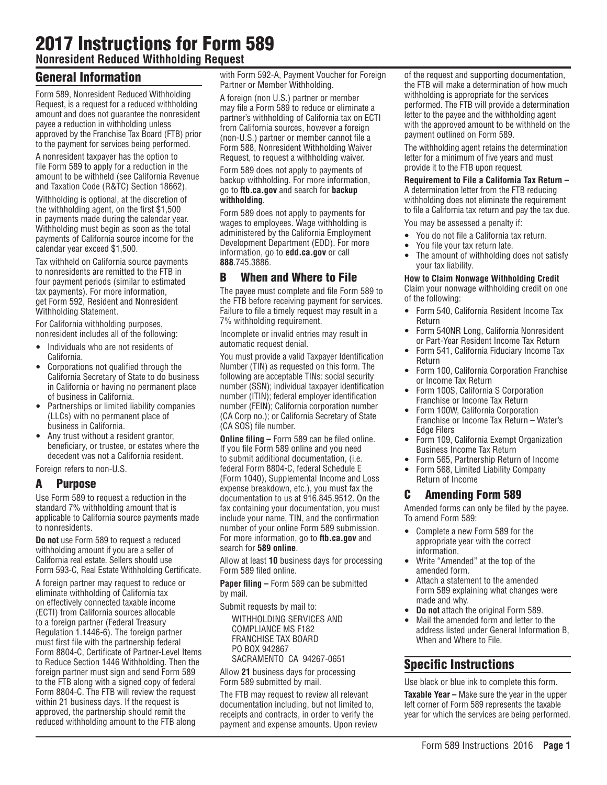# 2017 Instructions for Form 589

**Nonresident Reduced Withholding Request** 

### General Information

Form 589, Nonresident Reduced Withholding Request, is a request for a reduced withholding amount and does not guarantee the nonresident payee a reduction in withholding unless approved by the Franchise Tax Board (FTB) prior to the payment for services being performed.

A nonresident taxpayer has the option to file Form 589 to apply for a reduction in the amount to be withheld (see California Revenue and Taxation Code (R&TC) Section 18662).

Withholding is optional, at the discretion of the withholding agent, on the first \$1,500 in payments made during the calendar year. Withholding must begin as soon as the total payments of California source income for the calendar year exceed \$1,500.

Tax withheld on California source payments to nonresidents are remitted to the FTB in four payment periods (similar to estimated tax payments). For more information, get Form 592, Resident and Nonresident Withholding Statement.

For California withholding purposes, nonresident includes all of the following:

- Individuals who are not residents of California.
- Corporations not qualified through the California Secretary of State to do business in California or having no permanent place of business in California.
- Partnerships or limited liability companies (LLCs) with no permanent place of business in California.
- Any trust without a resident grantor, beneficiary, or trustee, or estates where the decedent was not a California resident. Foreign refers to non-U.S.

## A Purpose

Use Form 589 to request a reduction in the standard 7% withholding amount that is applicable to California source payments made to nonresidents.

**Do not** use Form 589 to request a reduced withholding amount if you are a seller of California real estate. Sellers should use Form 593-C, Real Estate Withholding Certificate.

A foreign partner may request to reduce or eliminate withholding of California tax on effectively connected taxable income (ECTI) from California sources allocable to a foreign partner (Federal Treasury Regulation 1.1446-6). The foreign partner must first file with the partnership federal Form 8804-C, Certificate of Partner-Level Items to Reduce Section 1446 Withholding. Then the foreign partner must sign and send Form 589 to the FTB along with a signed copy of federal Form 8804-C. The FTB will review the request within 21 business days. If the request is approved, the partnership should remit the reduced withholding amount to the FTB along

with Form 592-A, Payment Voucher for Foreign Partner or Member Withholding.

A foreign (non U.S.) partner or member may file a Form 589 to reduce or eliminate a partner's withholding of California tax on ECTI from California sources, however a foreign (non-U.S.) partner or member cannot file a Form 588, Nonresident Withholding Waiver Request, to request a withholding waiver.

Form 589 does not apply to payments of backup withholding. For more information, go to **ftb.ca.gov** and search for **backup withholding**.

Form 589 does not apply to payments for wages to employees. Wage withholding is administered by the California Employment Development Department (EDD). For more information, go to **edd.ca.gov** or call **888**.745.3886.

### B When and Where to File

The payee must complete and file Form 589 to the FTB before receiving payment for services. Failure to file a timely request may result in a 7% withholding requirement.

Incomplete or invalid entries may result in automatic request denial.

You must provide a valid Taxpayer Identification Number (TIN) as requested on this form. The following are acceptable TINs: social security number (SSN); individual taxpayer identification number (ITIN); federal employer identification number (FEIN); California corporation number (CA Corp no.); or California Secretary of State (CA SOS) file number.

**Online filing –** Form 589 can be filed online. If you file Form 589 online and you need to submit additional documentation, (i.e. federal Form 8804-C, federal Schedule E (Form 1040), Supplemental Income and Loss expense breakdown, etc.), you must fax the documentation to us at 916.845.9512. On the fax containing your documentation, you must include your name, TIN, and the confirmation number of your online Form 589 submission. For more information, go to **ftb.ca.gov** and search for **589 online**.

Allow at least **10** business days for processing Form 589 filed online.

**Paper filing –** Form 589 can be submitted by mail.

Submit requests by mail to:

WITHHOLDING SERVICES AND COMPLIANCE MS F182 FRANCHISE TAX BOARD PO BOX 942867 SACRAMENTO CA 94267-0651

Allow **21** business days for processing Form 589 submitted by mail.

The FTB may request to review all relevant documentation including, but not limited to, receipts and contracts, in order to verify the payment and expense amounts. Upon review of the request and supporting documentation, the FTB will make a determination of how much withholding is appropriate for the services performed. The FTB will provide a determination letter to the payee and the withholding agent with the approved amount to be withheld on the payment outlined on Form 589.

The withholding agent retains the determination letter for a minimum of five years and must provide it to the FTB upon request.

**Requirement to File a California Tax Return –** A determination letter from the FTB reducing withholding does not eliminate the requirement to file a California tax return and pay the tax due.

You may be assessed a penalty if:

- You do not file a California tax return.
- You file your tax return late.
- The amount of withholding does not satisfy your tax liability.

**How to Claim Nonwage Withholding Credit** 

Claim your nonwage withholding credit on one of the following:

- Form 540, California Resident Income Tax Return
- Form 540NR Long, California Nonresident or Part-Year Resident Income Tax Return
- Form 541, California Fiduciary Income Tax Return
- Form 100, California Corporation Franchise or Income Tax Return
- Form 100S, California S Corporation Franchise or Income Tax Return
- Form 100W, California Corporation Franchise or Income Tax Return – Water's Edge Filers
- Form 109, California Exempt Organization Business Income Tax Return
- Form 565, Partnership Return of Income
- Form 568, Limited Liability Company Return of Income

### C Amending Form 589

Amended forms can only be filed by the payee. To amend Form 589:

- Complete a new Form 589 for the appropriate year with the correct information.
- Write "Amended" at the top of the amended form.
- Attach a statement to the amended Form 589 explaining what changes were made and why.
- **Do not** attach the original Form 589.
- Mail the amended form and letter to the address listed under General Information B, When and Where to File.

### Specific Instructions

Use black or blue ink to complete this form.

**Taxable Year –** Make sure the year in the upper left corner of Form 589 represents the taxable year for which the services are being performed.